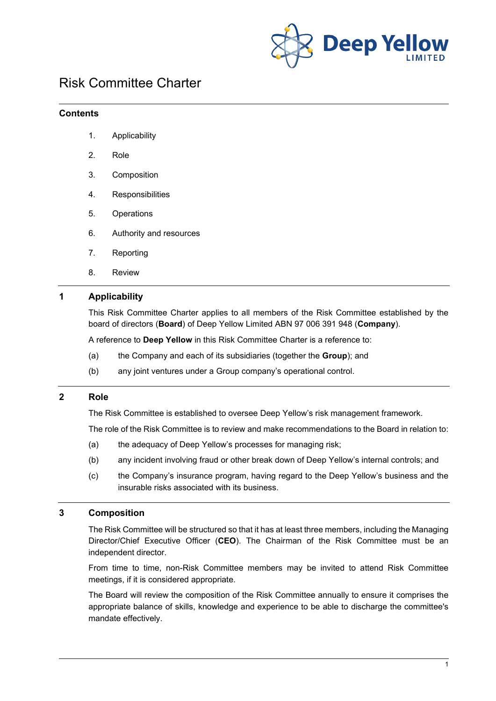

# Risk Committee Charter

#### **Contents**

- 1. Applicability
- 2. Role
- 3. Composition
- 4. Responsibilities
- 5. Operations
- 6. Authority and resources
- 7. Reporting
- 8. Review

# **1 Applicability**

This Risk Committee Charter applies to all members of the Risk Committee established by the board of directors (**Board**) of Deep Yellow Limited ABN 97 006 391 948 (**Company**).

A reference to **Deep Yellow** in this Risk Committee Charter is a reference to:

- (a) the Company and each of its subsidiaries (together the **Group**); and
- (b) any joint ventures under a Group company's operational control.

## **2 Role**

The Risk Committee is established to oversee Deep Yellow's risk management framework.

The role of the Risk Committee is to review and make recommendations to the Board in relation to:

- (a) the adequacy of Deep Yellow's processes for managing risk;
- (b) any incident involving fraud or other break down of Deep Yellow's internal controls; and
- (c) the Company's insurance program, having regard to the Deep Yellow's business and the insurable risks associated with its business.

#### **3 Composition**

The Risk Committee will be structured so that it has at least three members, including the Managing Director/Chief Executive Officer (**CEO**). The Chairman of the Risk Committee must be an independent director.

From time to time, non-Risk Committee members may be invited to attend Risk Committee meetings, if it is considered appropriate.

The Board will review the composition of the Risk Committee annually to ensure it comprises the appropriate balance of skills, knowledge and experience to be able to discharge the committee's mandate effectively.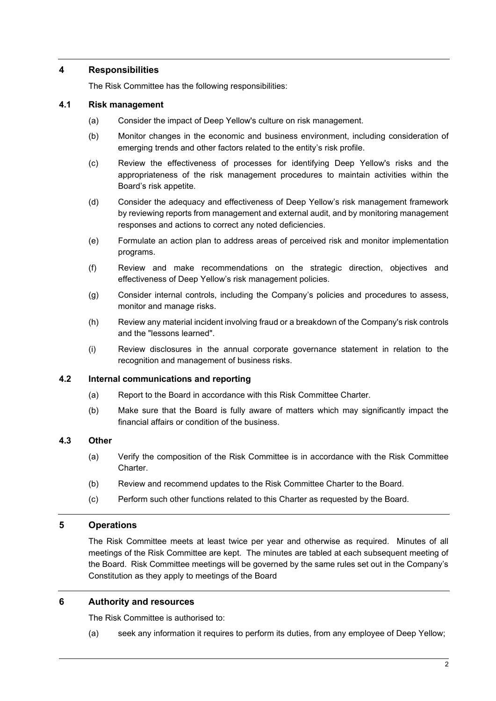## **4 Responsibilities**

The Risk Committee has the following responsibilities:

#### **4.1 Risk management**

- (a) Consider the impact of Deep Yellow's culture on risk management.
- (b) Monitor changes in the economic and business environment, including consideration of emerging trends and other factors related to the entity's risk profile.
- (c) Review the effectiveness of processes for identifying Deep Yellow's risks and the appropriateness of the risk management procedures to maintain activities within the Board's risk appetite.
- (d) Consider the adequacy and effectiveness of Deep Yellow's risk management framework by reviewing reports from management and external audit, and by monitoring management responses and actions to correct any noted deficiencies.
- (e) Formulate an action plan to address areas of perceived risk and monitor implementation programs.
- (f) Review and make recommendations on the strategic direction, objectives and effectiveness of Deep Yellow's risk management policies.
- (g) Consider internal controls, including the Company's policies and procedures to assess, monitor and manage risks.
- (h) Review any material incident involving fraud or a breakdown of the Company's risk controls and the "lessons learned".
- (i) Review disclosures in the annual corporate governance statement in relation to the recognition and management of business risks.

#### **4.2 Internal communications and reporting**

- (a) Report to the Board in accordance with this Risk Committee Charter.
- (b) Make sure that the Board is fully aware of matters which may significantly impact the financial affairs or condition of the business.

# **4.3 Other**

- (a) Verify the composition of the Risk Committee is in accordance with the Risk Committee Charter.
- (b) Review and recommend updates to the Risk Committee Charter to the Board.
- (c) Perform such other functions related to this Charter as requested by the Board.

# **5 Operations**

The Risk Committee meets at least twice per year and otherwise as required. Minutes of all meetings of the Risk Committee are kept. The minutes are tabled at each subsequent meeting of the Board. Risk Committee meetings will be governed by the same rules set out in the Company's Constitution as they apply to meetings of the Board

#### **6 Authority and resources**

The Risk Committee is authorised to:

(a) seek any information it requires to perform its duties, from any employee of Deep Yellow;